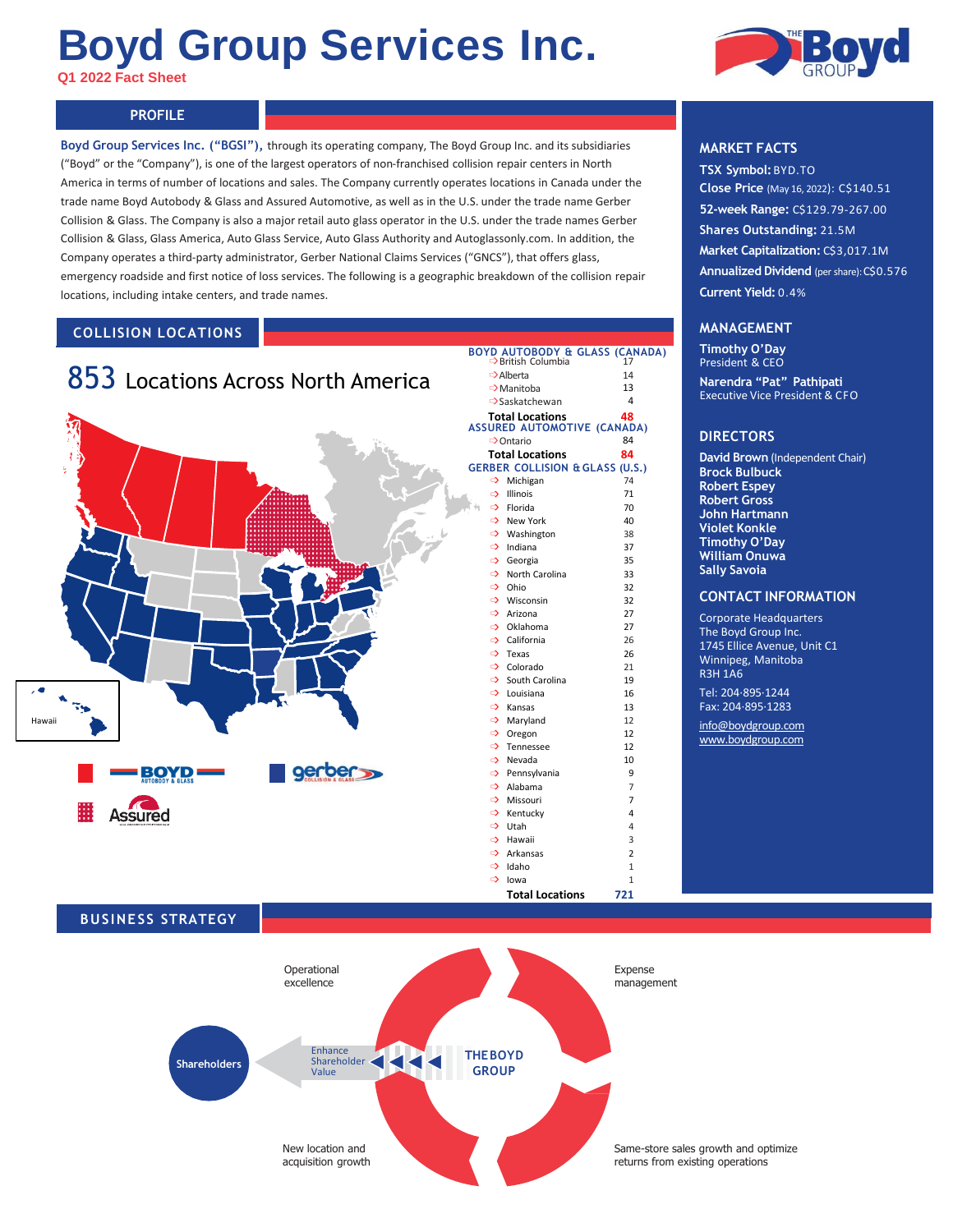# **Boyd Group Services Inc.**

**Q1 2022 Fact Sheet** 

#### **PROFILE PROFILE**

**Boyd Group Services Inc. ("BGSI"),** through its operating company, The Boyd Group Inc. and its subsidiaries ("Boyd" or the "Company"), is one of the largest operators of non-franchised collision repair centers in North America in terms of number of locations and sales. The Company currently operates locations in Canada under the trade name Boyd Autobody & Glass and Assured Automotive, as well as in the U.S. under the trade name Gerber Collision & Glass. The Company is also a major retail auto glass operator in the U.S. under the trade names Gerber Collision & Glass, Glass America, Auto Glass Service, Auto Glass Authority and Autoglassonly.com. In addition, the Company operates a third-party administrator, Gerber National Claims Services ("GNCS"), that offers glass, emergency roadside and first notice of loss services. The following is a geographic breakdown of the collision repair locations, including intake centers, and trade names.

## **COLLISION LOCATIONS**





## **MARKET FACTS**

**TSX Symbol:**BYD.TO **Close Price** (May 16, 2022): C\$140.51 **52-week Range:** C\$129.79-267.00 **Shares Outstanding:** 21.5M **Market Capitalization: C\$3,017.1M Annualized Dividend** (per share): C\$0.576 **Current Yield:** 0.4%

#### **MANAGEMENT**

**Timothy O'Day** President & CEO **Narendra "Pat" Pathipati** Executive Vice President & CFO

#### **DIRECTORS**

**David Brown** (Independent Chair) **Brock Bulbuck Robert Espey Robert Gross John Hartmann Violet Konkle Timothy O'Day William Onuwa Sally Savoia**

#### **CONTACT INFORMATION**

Corporate Headquarters The Boyd Group Inc. 1745 Ellice Avenue, Unit C1 Winnipeg, Manitoba R3H 1A6

Tel: 204·895·1244 Fax: 204·895·1283

[info@boydgroup.com](mailto:info@boydgroup.com) [www.boydgroup.com](http://www.boydgroup.com/)

## **BUSINESS STRATEGY**